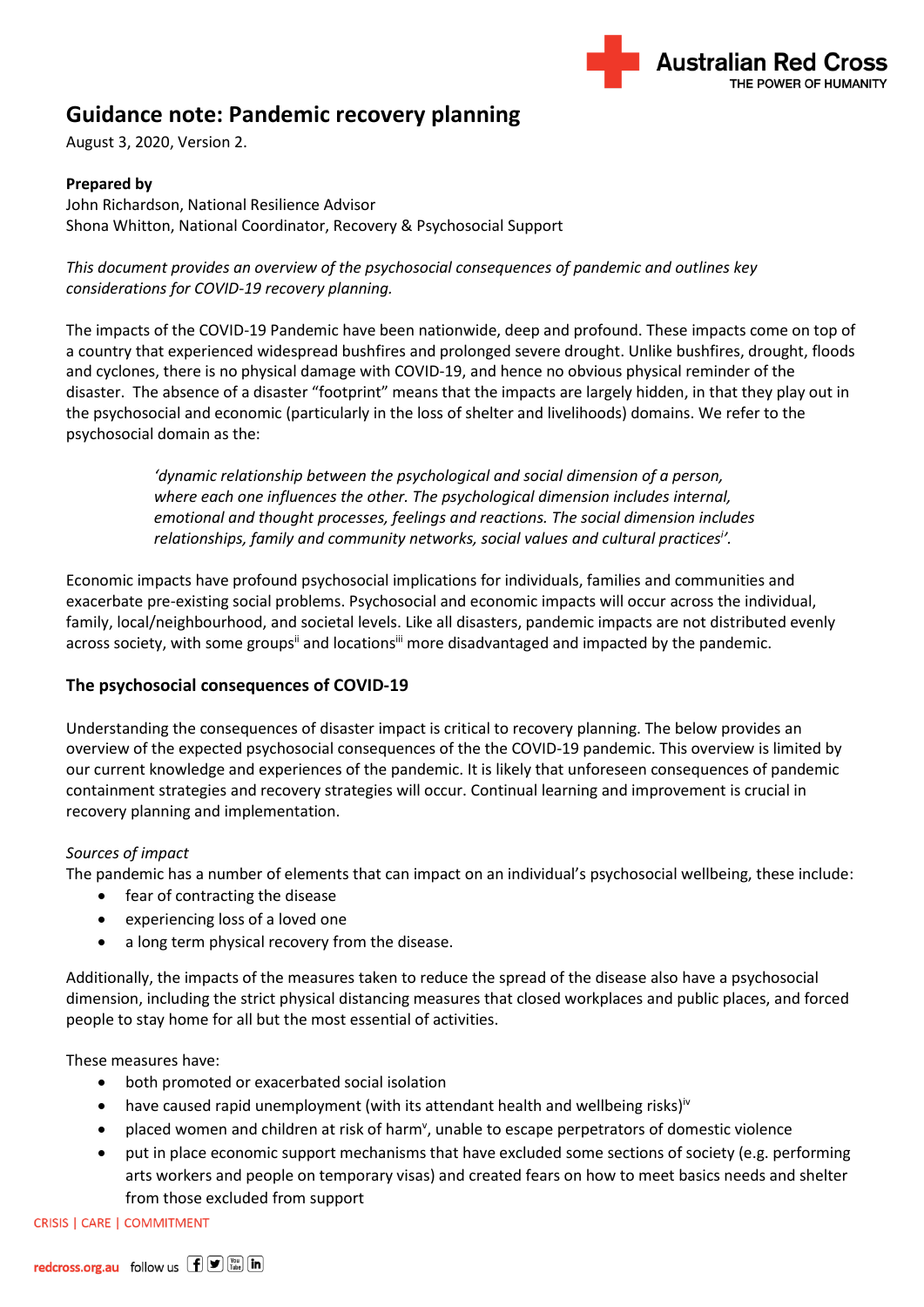

# **Guidance note: Pandemic recovery planning**

August 3, 2020, Version 2.

### **Prepared by**

John Richardson, National Resilience Advisor Shona Whitton, National Coordinator, Recovery & Psychosocial Support

*This document provides an overview of the psychosocial consequences of pandemic and outlines key considerations for COVID-19 recovery planning.*

The impacts of the COVID-19 Pandemic have been nationwide, deep and profound. These impacts come on top of a country that experienced widespread bushfires and prolonged severe drought. Unlike bushfires, drought, floods and cyclones, there is no physical damage with COVID-19, and hence no obvious physical reminder of the disaster. The absence of a disaster "footprint" means that the impacts are largely hidden, in that they play out in the psychosocial and economic (particularly in the loss of shelter and livelihoods) domains. We refer to the psychosocial domain as the:

> *'dynamic relationship between the psychological and social dimension of a person, where each one influences the other. The psychological dimension includes internal, emotional and thought processes, feelings and reactions. The social dimension includes relationships, family and community networks, social values and cultural practices<sup>i</sup> '.*

Economic impacts have profound psychosocial implications for individuals, families and communities and exacerbate pre-existing social problems. Psychosocial and economic impacts will occur across the individual, family, local/neighbourhood, and societal levels. Like all disasters, pandemic impacts are not distributed evenly across society, with some groups<sup>ii</sup> and locations<sup>iii</sup> more disadvantaged and impacted by the pandemic.

### **The psychosocial consequences of COVID-19**

Understanding the consequences of disaster impact is critical to recovery planning. The below provides an overview of the expected psychosocial consequences of the the COVID-19 pandemic. This overview is limited by our current knowledge and experiences of the pandemic. It is likely that unforeseen consequences of pandemic containment strategies and recovery strategies will occur. Continual learning and improvement is crucial in recovery planning and implementation.

### *Sources of impact*

The pandemic has a number of elements that can impact on an individual's psychosocial wellbeing, these include:

- fear of contracting the disease
- experiencing loss of a loved one
- a long term physical recovery from the disease.

Additionally, the impacts of the measures taken to reduce the spread of the disease also have a psychosocial dimension, including the strict physical distancing measures that closed workplaces and public places, and forced people to stay home for all but the most essential of activities.

These measures have:

- both promoted or exacerbated social isolation
- have caused rapid unemployment (with its attendant health and wellbeing risks)<sup>iv</sup>
- placed women and children at risk of harm<sup>v</sup>, unable to escape perpetrators of domestic violence
- put in place economic support mechanisms that have excluded some sections of society (e.g. performing arts workers and people on temporary visas) and created fears on how to meet basics needs and shelter from those excluded from support

CRISIS | CARE | COMMITMENT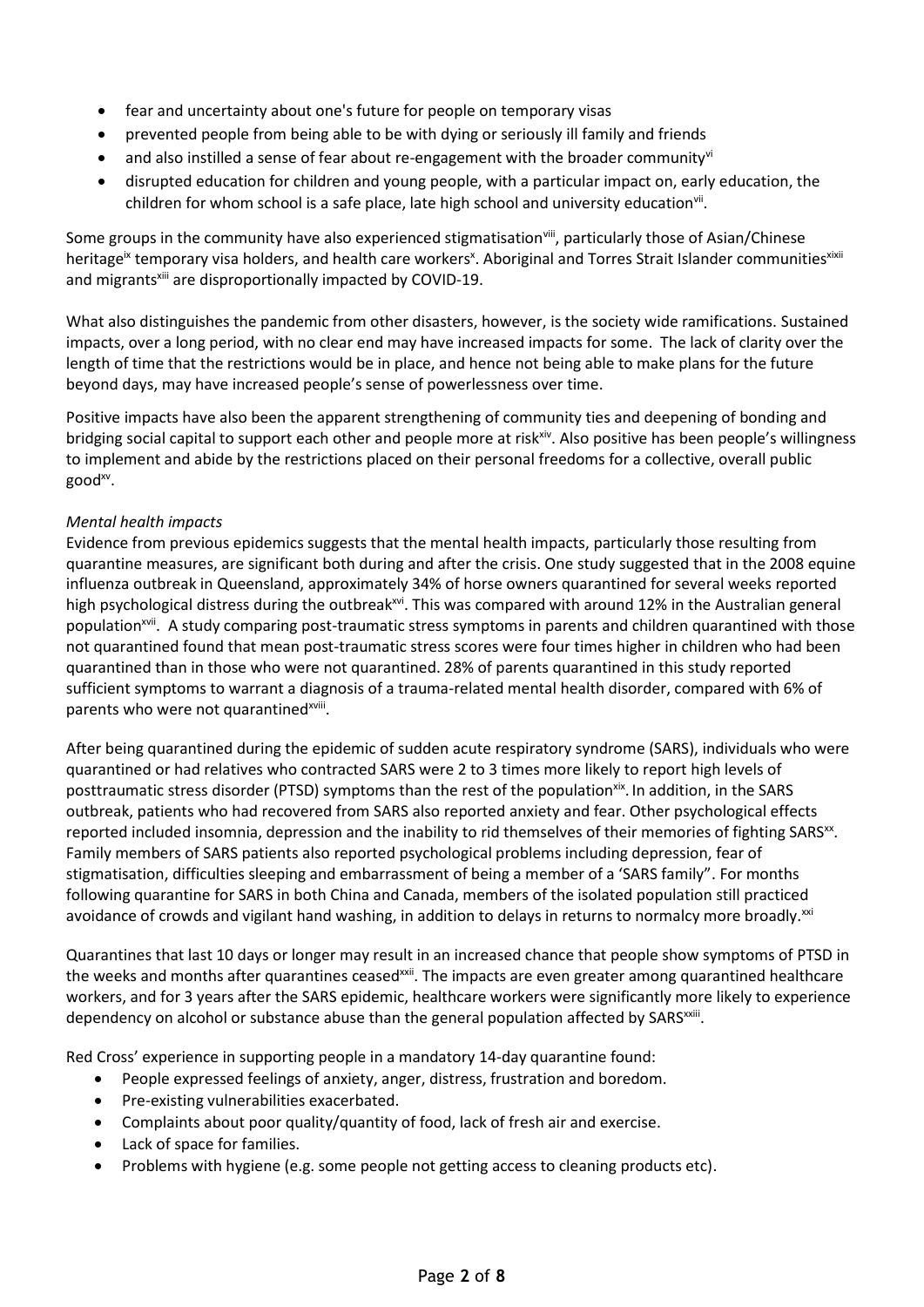- fear and uncertainty about one's future for people on temporary visas
- prevented people from being able to be with dying or seriously ill family and friends
- and also instilled a sense of fear about re-engagement with the broader communityvi
- disrupted education for children and young people, with a particular impact on, early education, the children for whom school is a safe place, late high school and university education<sup>vii</sup>.

Some groups in the community have also experienced stigmatisation<sup>viii</sup>, particularly those of Asian/Chinese heritage<sup>ix</sup> temporary visa holders, and health care workers<sup>x</sup>. Aboriginal and Torres Strait Islander communities<sup>xixii</sup> and migrants<sup>xiii</sup> are disproportionally impacted by COVID-19.

What also distinguishes the pandemic from other disasters, however, is the society wide ramifications. Sustained impacts, over a long period, with no clear end may have increased impacts for some. The lack of clarity over the length of time that the restrictions would be in place, and hence not being able to make plans for the future beyond days, may have increased people's sense of powerlessness over time.

Positive impacts have also been the apparent strengthening of community ties and deepening of bonding and bridging social capital to support each other and people more at risk<sup>xiv</sup>. Also positive has been people's willingness to implement and abide by the restrictions placed on their personal freedoms for a collective, overall public good<sup>xv</sup>.

### *Mental health impacts*

Evidence from previous epidemics suggests that the mental health impacts, particularly those resulting from quarantine measures, are significant both during and after the crisis. One study suggested that in the 2008 equine influenza outbreak in Queensland, approximately 34% of horse owners quarantined for several weeks reported high psychological distress during the outbreak<sup>xvi</sup>. This was compared with around 12% in the Australian general population<sup>xvii</sup>. A study comparing post-traumatic stress symptoms in parents and children quarantined with those not quarantined found that mean post-traumatic stress scores were four times higher in children who had been quarantined than in those who were not quarantined. 28% of parents quarantined in this study reported sufficient symptoms to warrant a diagnosis of a trauma-related mental health disorder, compared with 6% of parents who were not quarantined<sup>xviii</sup>.

After being quarantined during the epidemic of sudden acute respiratory syndrome (SARS), individuals who were quarantined or had relatives who contracted SARS were 2 to 3 times more likely to report high levels of posttraumatic stress disorder (PTSD) symptoms than the rest of the population<sup>xix</sup>. In addition, in the SARS outbreak, patients who had recovered from SARS also reported anxiety and fear. Other psychological effects reported included insomnia, depression and the inability to rid themselves of their memories of fighting SARS<sup>xx</sup>. Family members of SARS patients also reported psychological problems including depression, fear of stigmatisation, difficulties sleeping and embarrassment of being a member of a 'SARS family". For months following quarantine for SARS in both China and Canada, members of the isolated population still practiced avoidance of crowds and vigilant hand washing, in addition to delays in returns to normalcy more broadly.<sup>xxi</sup>

Quarantines that last 10 days or longer may result in an increased chance that people show symptoms of PTSD in the weeks and months after quarantines ceased<sup>xxii</sup>. The impacts are even greater among quarantined healthcare workers, and for 3 years after the SARS epidemic, healthcare workers were significantly more likely to experience dependency on alcohol or substance abuse than the general population affected by SARS<sup>xxiii</sup>.

Red Cross' experience in supporting people in a mandatory 14-day quarantine found:

- People expressed feelings of anxiety, anger, distress, frustration and boredom.
- Pre-existing vulnerabilities exacerbated.
- Complaints about poor quality/quantity of food, lack of fresh air and exercise.
- Lack of space for families.
- Problems with hygiene (e.g. some people not getting access to cleaning products etc).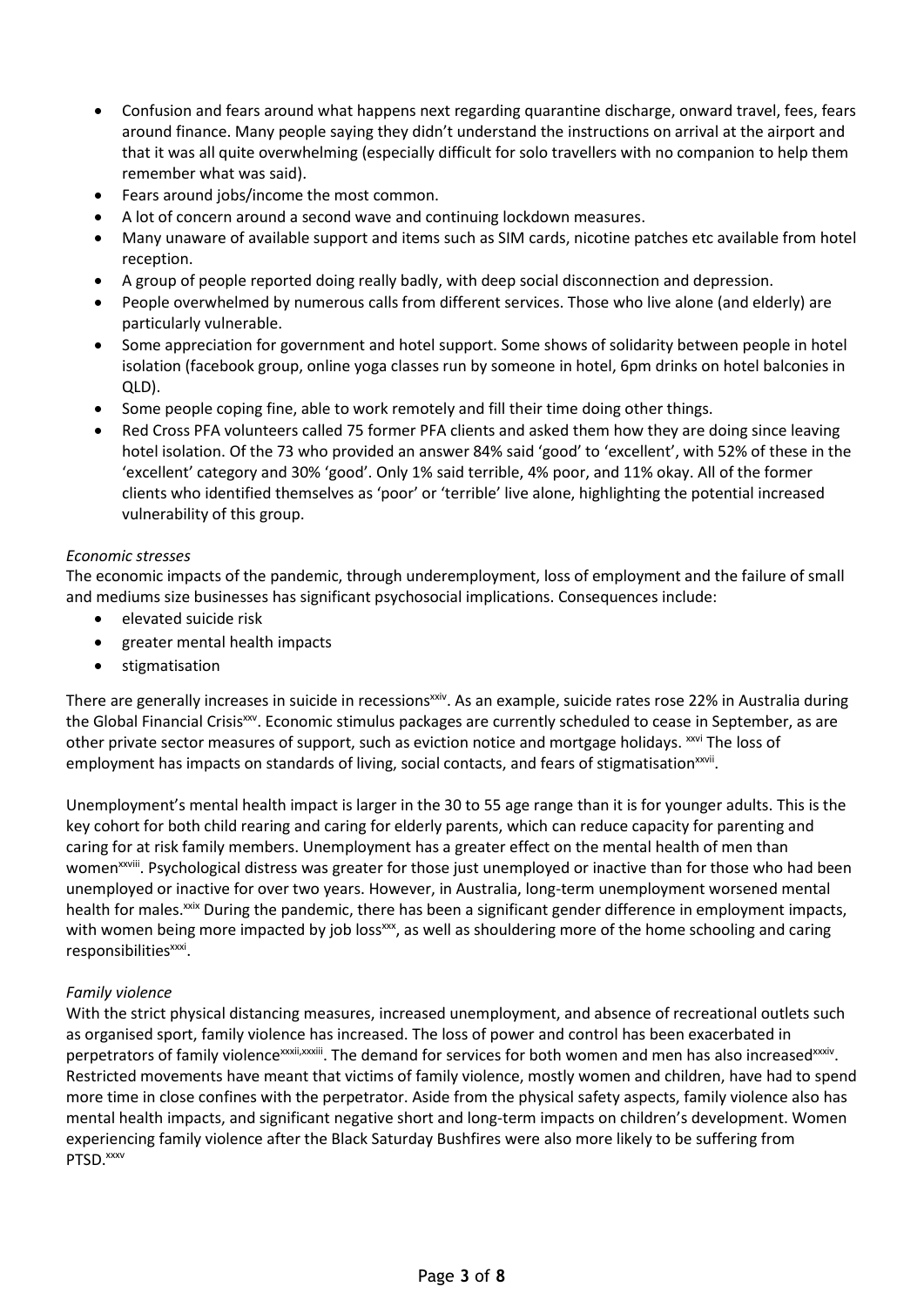- Confusion and fears around what happens next regarding quarantine discharge, onward travel, fees, fears around finance. Many people saying they didn't understand the instructions on arrival at the airport and that it was all quite overwhelming (especially difficult for solo travellers with no companion to help them remember what was said).
- Fears around jobs/income the most common.
- A lot of concern around a second wave and continuing lockdown measures.
- Many unaware of available support and items such as SIM cards, nicotine patches etc available from hotel reception.
- A group of people reported doing really badly, with deep social disconnection and depression.
- People overwhelmed by numerous calls from different services. Those who live alone (and elderly) are particularly vulnerable.
- Some appreciation for government and hotel support. Some shows of solidarity between people in hotel isolation (facebook group, online yoga classes run by someone in hotel, 6pm drinks on hotel balconies in QLD).
- Some people coping fine, able to work remotely and fill their time doing other things.
- Red Cross PFA volunteers called 75 former PFA clients and asked them how they are doing since leaving hotel isolation. Of the 73 who provided an answer 84% said 'good' to 'excellent', with 52% of these in the 'excellent' category and 30% 'good'. Only 1% said terrible, 4% poor, and 11% okay. All of the former clients who identified themselves as 'poor' or 'terrible' live alone, highlighting the potential increased vulnerability of this group.

### *Economic stresses*

The economic impacts of the pandemic, through underemployment, loss of employment and the failure of small and mediums size businesses has significant psychosocial implications. Consequences include:

- elevated suicide risk
- greater mental health impacts
- stigmatisation

There are generally increases in suicide in recessions<sup>xxiv</sup>. As an example, suicide rates rose 22% in Australia during the Global Financial Crisis<sup>xxv</sup>. Economic stimulus packages are currently scheduled to cease in September, as are other private sector measures of support, such as eviction notice and mortgage holidays. *xxvi* The loss of employment has impacts on standards of living, social contacts, and fears of stigmatisation<sup>xxvii</sup>.

Unemployment's mental health impact is larger in the 30 to 55 age range than it is for younger adults. This is the key cohort for both child rearing and caring for elderly parents, which can reduce capacity for parenting and caring for at risk family members. Unemployment has a greater effect on the mental health of men than women<sup>xxviii</sup>. Psychological distress was greater for those just unemployed or inactive than for those who had been unemployed or inactive for over two years. However, in Australia, long-term unemployment worsened mental health for males.<sup>xxix</sup> During the pandemic, there has been a significant gender difference in employment impacts, with women being more impacted by job loss<sup>xx</sup>, as well as shouldering more of the home schooling and caring responsibilities<sup>xxxi</sup>.

### *Family violence*

With the strict physical distancing measures, increased unemployment, and absence of recreational outlets such as organised sport, family violence has increased. The loss of power and control has been exacerbated in perpetrators of family violence<sup>xxxii,xxxiii</sup>. The demand for services for both women and men has also increased<sup>xxxiv</sup>. Restricted movements have meant that victims of family violence, mostly women and children, have had to spend more time in close confines with the perpetrator. Aside from the physical safety aspects, family violence also has mental health impacts, and significant negative short and long-term impacts on children's development. Women experiencing family violence after the Black Saturday Bushfires were also more likely to be suffering from PTSD.<sup>xxxv</sup>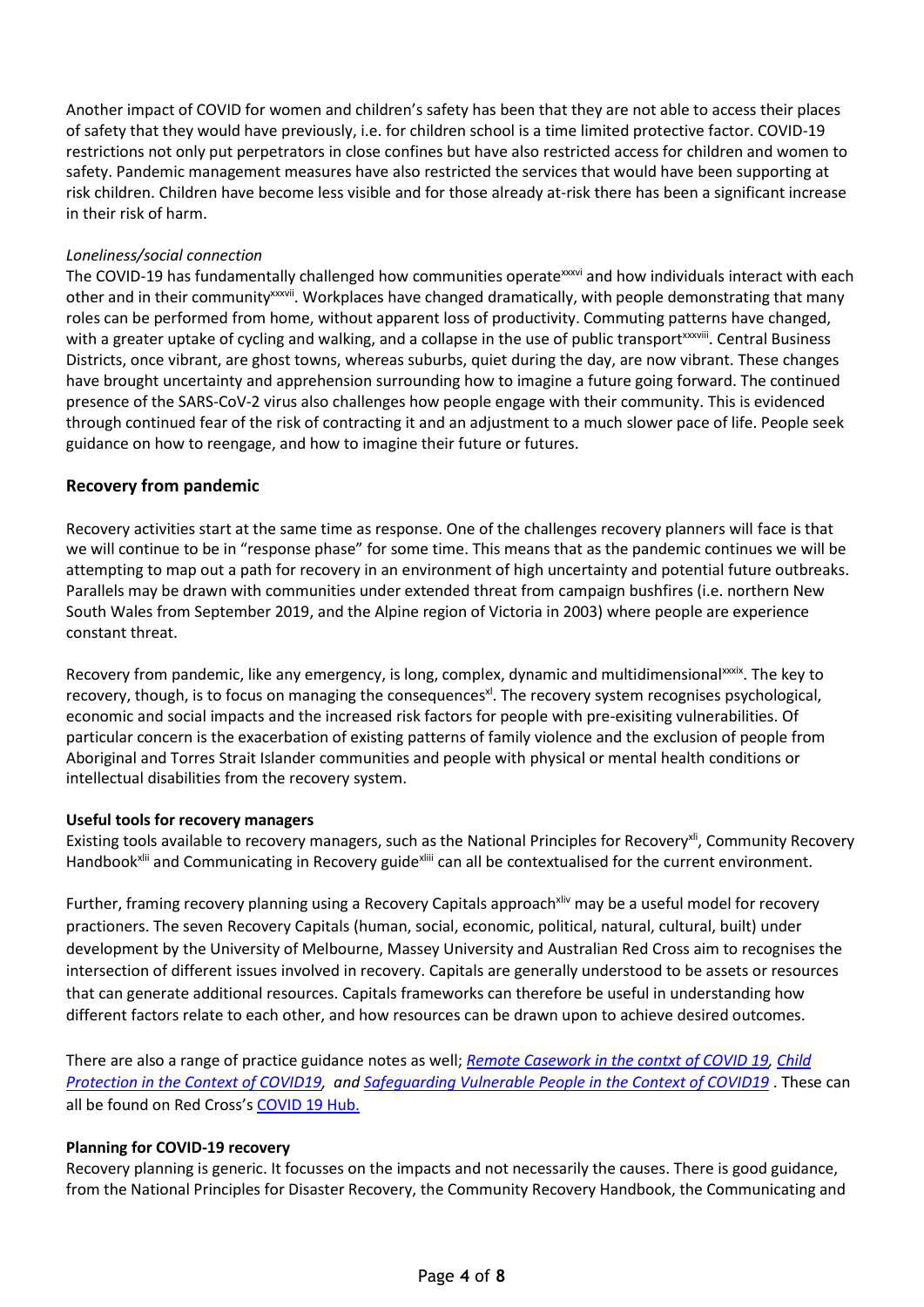Another impact of COVID for women and children's safety has been that they are not able to access their places of safety that they would have previously, i.e. for children school is a time limited protective factor. COVID-19 restrictions not only put perpetrators in close confines but have also restricted access for children and women to safety. Pandemic management measures have also restricted the services that would have been supporting at risk children. Children have become less visible and for those already at-risk there has been a significant increase in their risk of harm.

### *Loneliness/social connection*

The COVID-19 has fundamentally challenged how communities operatexxxvi and how individuals interact with each other and in their community<sup>xxxvii</sup>. Workplaces have changed dramatically, with people demonstrating that many roles can be performed from home, without apparent loss of productivity. Commuting patterns have changed, with a greater uptake of cycling and walking, and a collapse in the use of public transport<sup>xxxviii</sup>. Central Business Districts, once vibrant, are ghost towns, whereas suburbs, quiet during the day, are now vibrant. These changes have brought uncertainty and apprehension surrounding how to imagine a future going forward. The continued presence of the SARS-CoV-2 virus also challenges how people engage with their community. This is evidenced through continued fear of the risk of contracting it and an adjustment to a much slower pace of life. People seek guidance on how to reengage, and how to imagine their future or futures.

### **Recovery from pandemic**

Recovery activities start at the same time as response. One of the challenges recovery planners will face is that we will continue to be in "response phase" for some time. This means that as the pandemic continues we will be attempting to map out a path for recovery in an environment of high uncertainty and potential future outbreaks. Parallels may be drawn with communities under extended threat from campaign bushfires (i.e. northern New South Wales from September 2019, and the Alpine region of Victoria in 2003) where people are experience constant threat.

Recovery from pandemic, like any emergency, is long, complex, dynamic and multidimensional<sup>xxxix</sup>. The key to recovery, though, is to focus on managing the consequences<sup>xl</sup>. The recovery system recognises psychological, economic and social impacts and the increased risk factors for people with pre-exisiting vulnerabilities. Of particular concern is the exacerbation of existing patterns of family violence and the exclusion of people from Aboriginal and Torres Strait Islander communities and people with physical or mental health conditions or intellectual disabilities from the recovery system.

### **Useful tools for recovery managers**

Existing tools available to recovery managers, such as the National Principles for Recovery<sup>xii</sup>, Community Recovery Handbook<sup>xlii</sup> and Communicating in Recovery guide<sup>xliii</sup> can all be contextualised for the current environment.

Further, framing recovery planning using a Recovery Capitals approach<sup>xliv</sup> may be a useful model for recovery practioners. The seven Recovery Capitals (human, social, economic, political, natural, cultural, built) under development by the University of Melbourne, Massey University and Australian Red Cross aim to recognises the intersection of different issues involved in recovery. Capitals are generally understood to be assets or resources that can generate additional resources. Capitals frameworks can therefore be useful in understanding how different factors relate to each other, and how resources can be drawn upon to achieve desired outcomes.

There are also a range of practice guidance notes as well; *[Remote Casework in the contxt of COVID 19,](https://www.redcross.org.au/getmedia/c6ffcb4f-3ac3-4e61-ae9e-cb72166fd53f/Infosheet-Remote-Casework-COVID-19-external.pdf.aspx) [Child](https://www.redcross.org.au/getmedia/857697b3-28e1-4726-abb8-bf04930518af/Infosheet-Child-Protection-COVID-19-external.pdf.aspx)  [Protection in the Context of COVID19,](https://www.redcross.org.au/getmedia/857697b3-28e1-4726-abb8-bf04930518af/Infosheet-Child-Protection-COVID-19-external.pdf.aspx) an[d Safeguarding Vulnerable People in the Context of COVID19](https://www.redcross.org.au/getmedia/d58b03ce-ea14-4d5d-a1ff-35fddf7af8ad/Infosheet-Safeguarding-Vulnerable-People-COVID-19-external.pdf.aspx)* . These can all be found on Red Cross's [COVID 19 Hub.](https://www.redcross.org.au/stories/covid-19/sector-resources)

### **Planning for COVID-19 recovery**

Recovery planning is generic. It focusses on the impacts and not necessarily the causes. There is good guidance, from the National Principles for Disaster Recovery, the Community Recovery Handbook, the Communicating and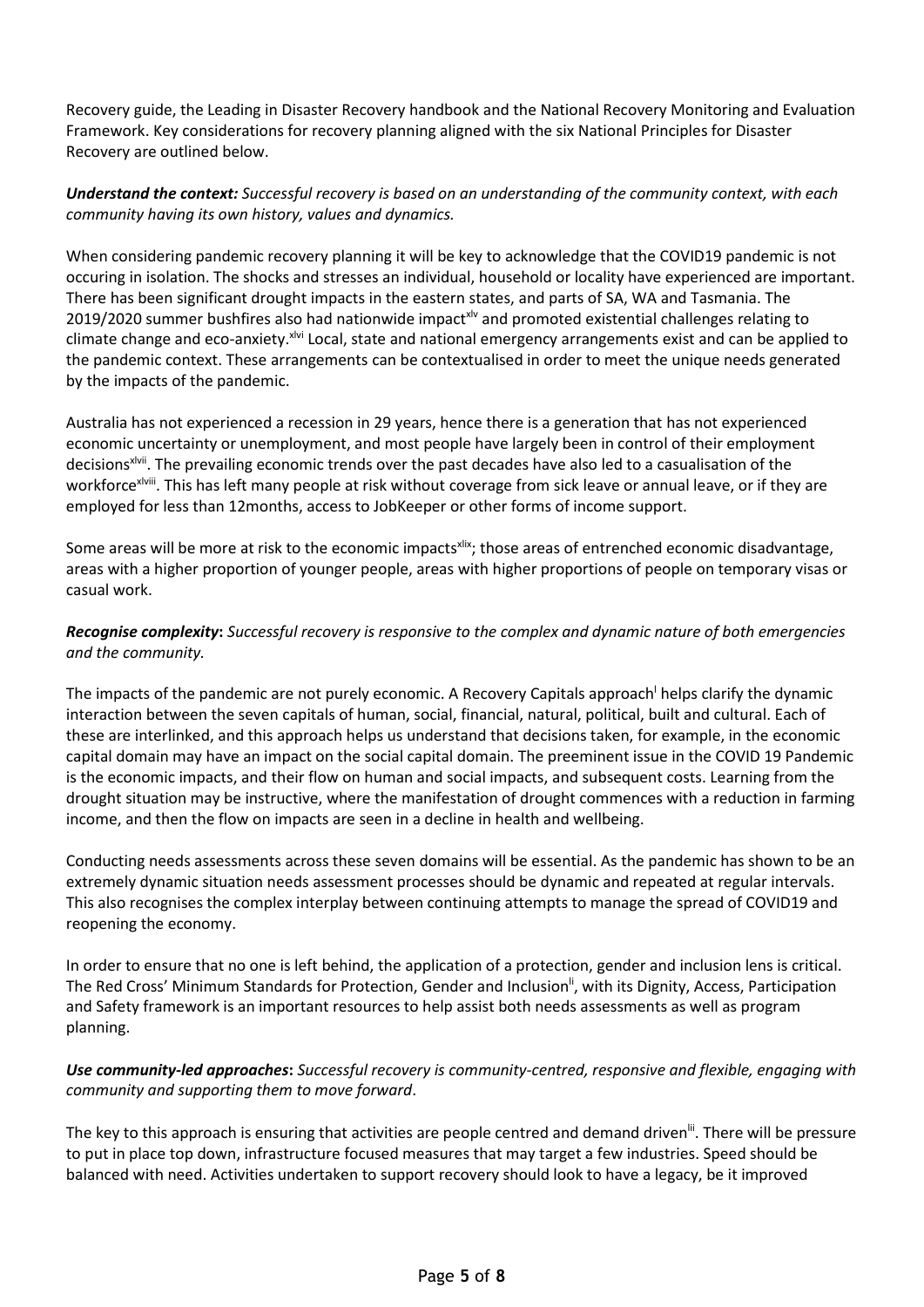Recovery guide, the Leading in Disaster Recovery handbook and the National Recovery Monitoring and Evaluation Framework. Key considerations for recovery planning aligned with the six National Principles for Disaster Recovery are outlined below.

### *Understand the context: Successful recovery is based on an understanding of the community context, with each community having its own history, values and dynamics.*

When considering pandemic recovery planning it will be key to acknowledge that the COVID19 pandemic is not occuring in isolation. The shocks and stresses an individual, household or locality have experienced are important. There has been significant drought impacts in the eastern states, and parts of SA, WA and Tasmania. The 2019/2020 summer bushfires also had nationwide impact<sup>xly</sup> and promoted existential challenges relating to climate change and eco-anxiety.xlvi Local, state and national emergency arrangements exist and can be applied to the pandemic context. These arrangements can be contextualised in order to meet the unique needs generated by the impacts of the pandemic.

Australia has not experienced a recession in 29 years, hence there is a generation that has not experienced economic uncertainty or unemployment, and most people have largely been in control of their employment decisions<sup>xivii</sup>. The prevailing economic trends over the past decades have also led to a casualisation of the workforce<sup>xlviii</sup>. This has left many people at risk without coverage from sick leave or annual leave, or if they are employed for less than 12months, access to JobKeeper or other forms of income support.

Some areas will be more at risk to the economic impacts<sup>xlix</sup>; those areas of entrenched economic disadvantage, areas with a higher proportion of younger people, areas with higher proportions of people on temporary visas or casual work.

## *Recognise complexity***:** *Successful recovery is responsive to the complex and dynamic nature of both emergencies and the community.*

The impacts of the pandemic are not purely economic. A Recovery Capitals approach helps clarify the dynamic interaction between the seven capitals of human, social, financial, natural, political, built and cultural. Each of these are interlinked, and this approach helps us understand that decisions taken, for example, in the economic capital domain may have an impact on the social capital domain. The preeminent issue in the COVID 19 Pandemic is the economic impacts, and their flow on human and social impacts, and subsequent costs. Learning from the drought situation may be instructive, where the manifestation of drought commences with a reduction in farming income, and then the flow on impacts are seen in a decline in health and wellbeing.

Conducting needs assessments across these seven domains will be essential. As the pandemic has shown to be an extremely dynamic situation needs assessment processes should be dynamic and repeated at regular intervals. This also recognises the complex interplay between continuing attempts to manage the spread of COVID19 and reopening the economy.

In order to ensure that no one is left behind, the application of a protection, gender and inclusion lens is critical. The Red Cross' Minimum Standards for Protection, Gender and Inclusion<sup>||</sup>, with its Dignity, Access, Participation and Safety framework is an important resources to help assist both needs assessments as well as program planning.

### *Use community-led approaches***:** *Successful recovery is community-centred, responsive and flexible, engaging with community and supporting them to move forward*.

The key to this approach is ensuring that activities are people centred and demand driven<sup>lii</sup>. There will be pressure to put in place top down, infrastructure focused measures that may target a few industries. Speed should be balanced with need. Activities undertaken to support recovery should look to have a legacy, be it improved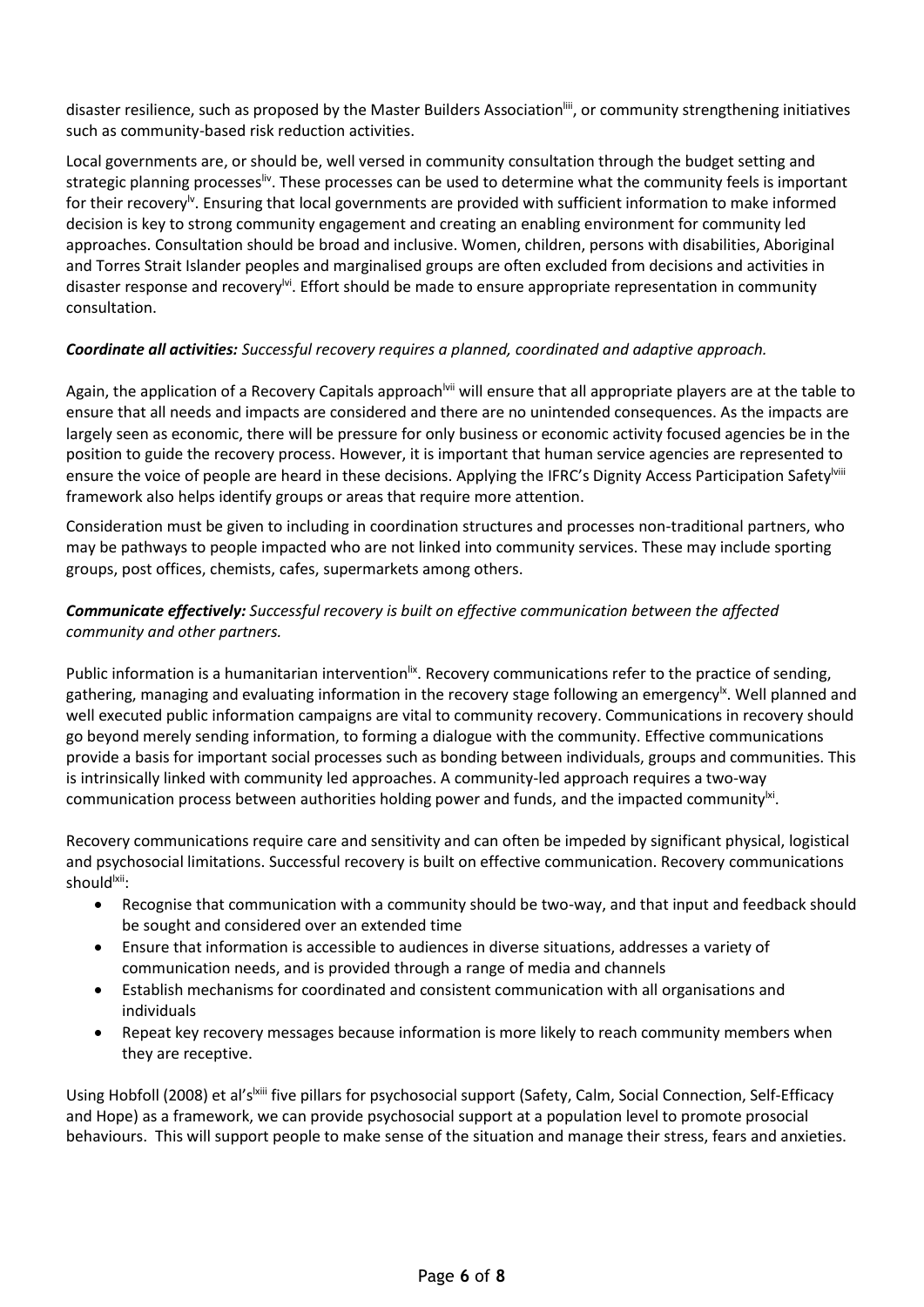disaster resilience, such as proposed by the Master Builders Association<sup>liii</sup>, or community strengthening initiatives such as community-based risk reduction activities.

Local governments are, or should be, well versed in community consultation through the budget setting and strategic planning processes<sup>liv</sup>. These processes can be used to determine what the community feels is important for their recovery<sup>ly</sup>. Ensuring that local governments are provided with sufficient information to make informed decision is key to strong community engagement and creating an enabling environment for community led approaches. Consultation should be broad and inclusive. Women, children, persons with disabilities, Aboriginal and Torres Strait Islander peoples and marginalised groups are often excluded from decisions and activities in disaster response and recovery<sup>lvi</sup>. Effort should be made to ensure appropriate representation in community consultation.

### *Coordinate all activities: Successful recovery requires a planned, coordinated and adaptive approach.*

Again, the application of a Recovery Capitals approach<sup>lvii</sup> will ensure that all appropriate players are at the table to ensure that all needs and impacts are considered and there are no unintended consequences. As the impacts are largely seen as economic, there will be pressure for only business or economic activity focused agencies be in the position to guide the recovery process. However, it is important that human service agencies are represented to ensure the voice of people are heard in these decisions. Applying the IFRC's Dignity Access Participation Safety<sup>lviii</sup> framework also helps identify groups or areas that require more attention.

Consideration must be given to including in coordination structures and processes non-traditional partners, who may be pathways to people impacted who are not linked into community services. These may include sporting groups, post offices, chemists, cafes, supermarkets among others.

### *Communicate effectively: Successful recovery is built on effective communication between the affected community and other partners.*

Public information is a humanitarian intervention<sup>lix</sup>. Recovery communications refer to the practice of sending, gathering, managing and evaluating information in the recovery stage following an emergency<sup>|x</sup>. Well planned and well executed public information campaigns are vital to community recovery. Communications in recovery should go beyond merely sending information, to forming a dialogue with the community. Effective communications provide a basis for important social processes such as bonding between individuals, groups and communities. This is intrinsically linked with community led approaches. A community-led approach requires a two-way communication process between authorities holding power and funds, and the impacted community $^{\text{ki}}$ .

Recovery communications require care and sensitivity and can often be impeded by significant physical, logistical and psychosocial limitations. Successful recovery is built on effective communication. Recovery communications should<sup>lxii</sup>:

- Recognise that communication with a community should be two-way, and that input and feedback should be sought and considered over an extended time
- Ensure that information is accessible to audiences in diverse situations, addresses a variety of communication needs, and is provided through a range of media and channels
- Establish mechanisms for coordinated and consistent communication with all organisations and individuals
- Repeat key recovery messages because information is more likely to reach community members when they are receptive.

Using Hobfoll (2008) et al's<sup>|xiii</sup> five pillars for psychosocial support (Safety, Calm, Social Connection, Self-Efficacy and Hope) as a framework, we can provide psychosocial support at a population level to promote prosocial behaviours. This will support people to make sense of the situation and manage their stress, fears and anxieties.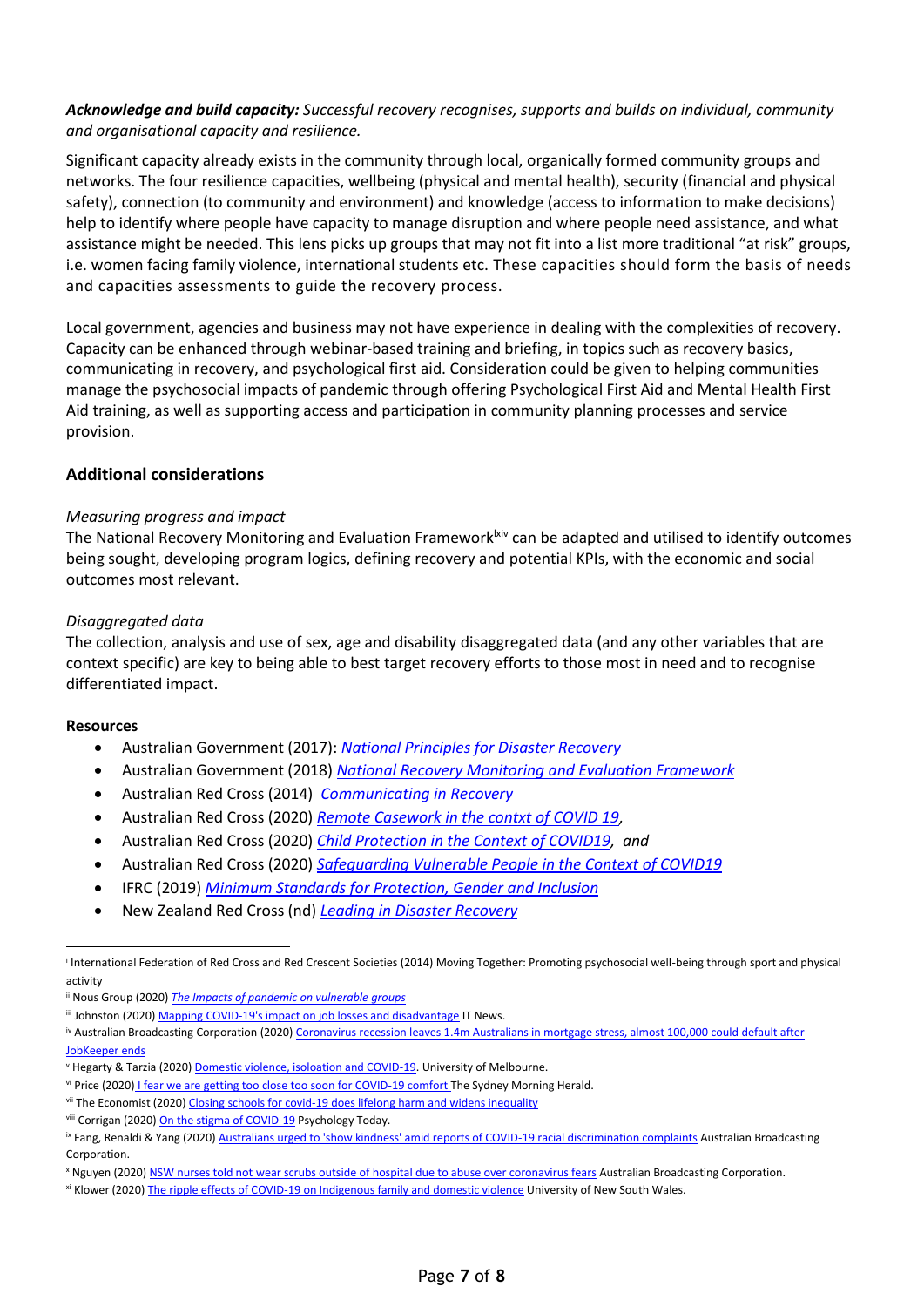### *Acknowledge and build capacity: Successful recovery recognises, supports and builds on individual, community and organisational capacity and resilience.*

Significant capacity already exists in the community through local, organically formed community groups and networks. The four resilience capacities, wellbeing (physical and mental health), security (financial and physical safety), connection (to community and environment) and knowledge (access to information to make decisions) help to identify where people have capacity to manage disruption and where people need assistance, and what assistance might be needed. This lens picks up groups that may not fit into a list more traditional "at risk" groups, i.e. women facing family violence, international students etc. These capacities should form the basis of needs and capacities assessments to guide the recovery process.

Local government, agencies and business may not have experience in dealing with the complexities of recovery. Capacity can be enhanced through webinar-based training and briefing, in topics such as recovery basics, communicating in recovery, and psychological first aid. Consideration could be given to helping communities manage the psychosocial impacts of pandemic through offering Psychological First Aid and Mental Health First Aid training, as well as supporting access and participation in community planning processes and service provision.

### **Additional considerations**

### *Measuring progress and impact*

The National Recovery Monitoring and Evaluation Framework<sup>lxiv</sup> can be adapted and utilised to identify outcomes being sought, developing program logics, defining recovery and potential KPIs, with the economic and social outcomes most relevant.

### *Disaggregated data*

The collection, analysis and use of sex, age and disability disaggregated data (and any other variables that are context specific) are key to being able to best target recovery efforts to those most in need and to recognise differentiated impact.

### **Resources**

 $\overline{a}$ 

- Australian Government (2017): *[National Principles for Disaster Recovery](https://knowledge.aidr.org.au/media/4785/national-principles-for-disaster-recovery.pdf)*
- Australian Government (2018) *[National Recovery Monitoring and Evaluation Framework](https://knowledge.aidr.org.au/media/5967/a-monitoring-and-evaluation-framework-for-disaster-recovery-programs-v2.pdf)*
- Australian Red Cross (2014) *[Communicating in Recovery](https://www.redcross.org.au/get-help/emergencies/resources-about-disasters/help-for-agencies/communicating-in-recovery)*
- Australian Red Cross (2020) *[Remote Casework in the contxt of COVID 19,](https://www.redcross.org.au/getmedia/c6ffcb4f-3ac3-4e61-ae9e-cb72166fd53f/Infosheet-Remote-Casework-COVID-19-external.pdf.aspx)*
- Australian Red Cross (2020) *[Child Protection in the Context of COVID19,](https://www.redcross.org.au/getmedia/857697b3-28e1-4726-abb8-bf04930518af/Infosheet-Child-Protection-COVID-19-external.pdf.aspx) and*
- Australian Red Cross (2020) *[Safeguarding Vulnerable People in the Context of COVID19](https://www.redcross.org.au/getmedia/d58b03ce-ea14-4d5d-a1ff-35fddf7af8ad/Infosheet-Safeguarding-Vulnerable-People-COVID-19-external.pdf.aspx)*
- IFRC (2019) *[Minimum Standards for Protection, Gender and Inclusion](https://media.ifrc.org/ifrc/wp-content/uploads/sites/5/2018/11/Minimum-standards-for-protection-gender-and-inclusion-in-emergencies-LR.pdf)*
- New Zealand Red Cross (nd) *[Leading in Disaster Recovery](file:///C:/Users/Generic/Downloads/Leading_in_Disaster_Recovery_A_Companion_Through_the_Chaos.pdf)*

i International Federation of Red Cross and Red Crescent Societies (2014) Moving Together: Promoting psychosocial well-being through sport and physical activity

ii Nous Group (2020) *[The Impacts of pandemic on vulnerable groups](https://www.nousgroup.com/insights/covid-19-vulnerabilities/)*

iii Johnston (2020[\) Mapping COVID-19's impact on job losses and disadvantage](https://www.itnews.com.au/news/mapping-covid-19s-impact-on-job-losses-and-disadvantage-548357) IT News.

<sup>&</sup>lt;sup>iv</sup> Australian Broadcasting Corporation (2020) Coronavirus recession leaves 1.4m Australians in mortgage stress, almost 100,000 could default after [JobKeeper ends](https://www.abc.net.au/news/2020-06-04/covid-recession-mortgage-stress-default-home-loans-jobkeeper/12318274)

<sup>v</sup> Hegarty & Tarzia (2020[\) Domestic violence, isoloation and COVID-19.](https://pursuit.unimelb.edu.au/articles/domestic-violence-isolation-and-covid-19) University of Melbourne.

vi Price (2020) [I fear we are getting too close too soon for COVID-19 comfort T](https://www.smh.com.au/national/i-fear-we-are-getting-too-close-too-soon-for-covid-19-comfort-20200504-p54pnw.html)he Sydney Morning Herald.

vii The Economist (2020[\) Closing schools for covid-19 does lifelong harm and widens inequality](https://www.economist.com/international/2020/04/30/closing-schools-for-covid-19-does-lifelong-harm-and-widens-inequality)

viii Corrigan (2020[\) On the stigma of COVID-19](https://www.psychologytoday.com/au/blog/the-stigma-effect/202004/the-stigma-covid-19) Psychology Today.

<sup>&</sup>lt;sup>ix</sup> Fang, Renaldi & Yang (2020) [Australians urged to 'show kindness' amid reports of COVID-19 racial discrimination complaints](https://www.abc.net.au/news/2020-04-03/racism-covid-19-coronavirus-outbreak-commissioner-discrimination/12117738) Australian Broadcasting Corporation.

<sup>x</sup> Nguyen (2020) [NSW nurses told not wear scrubs outside of hospital due to abuse over coronavirus fears](https://www.abc.net.au/news/2020-04-05/nsw-nurses-midwives-abused-during-coronavirus-pandemic/12123216) Australian Broadcasting Corporation.

xi Klower (2020[\) The ripple effects of COVID-19 on Indigenous family and domestic violence](https://newsroom.unsw.edu.au/news/business-law/ripple-effects-covid-19-indigenous-family-and-domestic-violence) University of New South Wales.